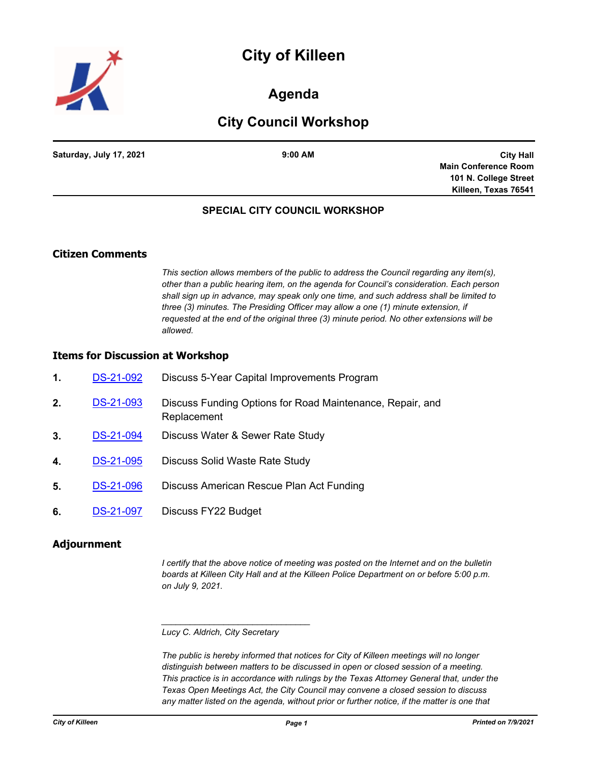# **City of Killeen**



### **Agenda**

## **City Council Workshop**

**Saturday, July 17, 2021 9:00 AM**

**City Hall Main Conference Room 101 N. College Street Killeen, Texas 76541**

### **SPECIAL CITY COUNCIL WORKSHOP**

### **Citizen Comments**

*This section allows members of the public to address the Council regarding any item(s), other than a public hearing item, on the agenda for Council's consideration. Each person shall sign up in advance, may speak only one time, and such address shall be limited to three (3) minutes. The Presiding Officer may allow a one (1) minute extension, if requested at the end of the original three (3) minute period. No other extensions will be allowed.*

#### **Items for Discussion at Workshop**

| $\mathbf 1$ . | DS-21-092        | Discuss 5-Year Capital Improvements Program                              |
|---------------|------------------|--------------------------------------------------------------------------|
| 2.            | DS-21-093        | Discuss Funding Options for Road Maintenance, Repair, and<br>Replacement |
| 3.            | DS-21-094        | Discuss Water & Sewer Rate Study                                         |
| 4.            | <b>DS-21-095</b> | Discuss Solid Waste Rate Study                                           |
| 5.            | <b>DS-21-096</b> | Discuss American Rescue Plan Act Funding                                 |
| 6.            | <b>DS-21-097</b> | Discuss FY22 Budget                                                      |

#### **Adjournment**

*I certify that the above notice of meeting was posted on the Internet and on the bulletin boards at Killeen City Hall and at the Killeen Police Department on or before 5:00 p.m. on July 9, 2021.*

#### *Lucy C. Aldrich, City Secretary*

*\_\_\_\_\_\_\_\_\_\_\_\_\_\_\_\_\_\_\_\_\_\_\_\_\_\_\_\_\_\_\_*

*The public is hereby informed that notices for City of Killeen meetings will no longer distinguish between matters to be discussed in open or closed session of a meeting. This practice is in accordance with rulings by the Texas Attorney General that, under the Texas Open Meetings Act, the City Council may convene a closed session to discuss*  any matter listed on the agenda, without prior or further notice, if the matter is one that